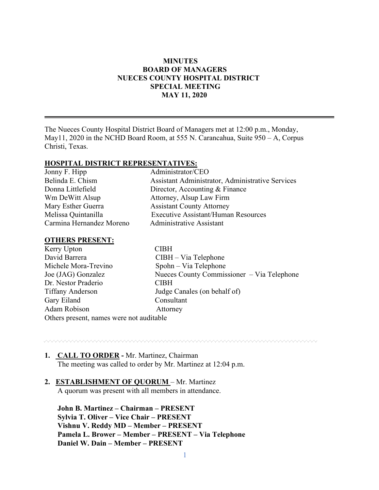## **MINUTES BOARD OF MANAGERS NUECES COUNTY HOSPITAL DISTRICT SPECIAL MEETING MAY 11, 2020**

The Nueces County Hospital District Board of Managers met at 12:00 p.m., Monday, May11, 2020 in the NCHD Board Room, at 555 N. Carancahua, Suite 950 – A, Corpus Christi, Texas.

#### **HOSPITAL DISTRICT REPRESENTATIVES:**

| Jonny F. Hipp            | Administrator/CEO                                |
|--------------------------|--------------------------------------------------|
| Belinda E. Chism         | Assistant Administrator, Administrative Services |
| Donna Littlefield        | Director, Accounting & Finance                   |
| Wm DeWitt Alsup          | Attorney, Alsup Law Firm                         |
| Mary Esther Guerra       | <b>Assistant County Attorney</b>                 |
| Melissa Quintanilla      | <b>Executive Assistant/Human Resources</b>       |
| Carmina Hernandez Moreno | <b>Administrative Assistant</b>                  |
|                          |                                                  |

#### **OTHERS PRESENT:**

| Kerry Upton                              | <b>CIBH</b>                                |
|------------------------------------------|--------------------------------------------|
| David Barrera                            | CIBH - Via Telephone                       |
| Michele Mora-Trevino                     | Spohn – Via Telephone                      |
| Joe (JAG) Gonzalez                       | Nueces County Commissioner – Via Telephone |
| Dr. Nestor Praderio                      | <b>CIBH</b>                                |
| <b>Tiffany Anderson</b>                  | Judge Canales (on behalf of)               |
| Gary Eiland                              | Consultant                                 |
| Adam Robison                             | Attorney                                   |
| Others present, names were not auditable |                                            |

# **1. CALL TO ORDER -** Mr. Martinez, Chairman

The meeting was called to order by Mr. Martinez at 12:04 p.m.

#### **2. ESTABLISHMENT OF QUORUM** – Mr. Martinez

A quorum was present with all members in attendance.

**John B. Martinez – Chairman – PRESENT Sylvia T. Oliver – Vice Chair – PRESENT Vishnu V. Reddy MD – Member – PRESENT Pamela L. Brower – Member – PRESENT – Via Telephone Daniel W. Dain – Member – PRESENT**

www.www.www.www.www.www.www.ww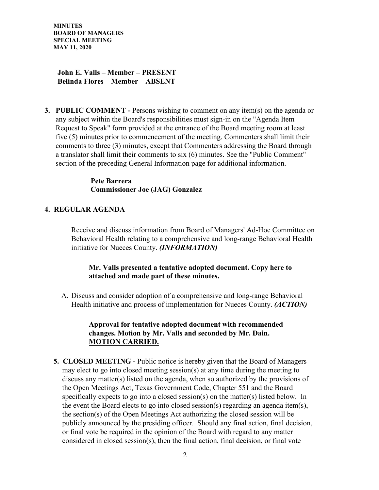**MINUTES BOARD OF MANAGERS SPECIAL MEETING MAY 11, 2020**

**John E. Valls – Member – PRESENT Belinda Flores – Member – ABSENT** 

**3. PUBLIC COMMENT -** Persons wishing to comment on any item(s) on the agenda or any subject within the Board's responsibilities must sign-in on the "Agenda Item Request to Speak" form provided at the entrance of the Board meeting room at least five (5) minutes prior to commencement of the meeting. Commenters shall limit their comments to three (3) minutes, except that Commenters addressing the Board through a translator shall limit their comments to six (6) minutes. See the "Public Comment" section of the preceding General Information page for additional information.

> **Pete Barrera Commissioner Joe (JAG) Gonzalez**

## **4. REGULAR AGENDA**

Receive and discuss information from Board of Managers' Ad-Hoc Committee on Behavioral Health relating to a comprehensive and long-range Behavioral Health initiative for Nueces County. *(INFORMATION)* 

## **Mr. Valls presented a tentative adopted document. Copy here to attached and made part of these minutes.**

A. Discuss and consider adoption of a comprehensive and long-range Behavioral Health initiative and process of implementation for Nueces County. *(ACTION)*

### **Approval for tentative adopted document with recommended changes. Motion by Mr. Valls and seconded by Mr. Dain. MOTION CARRIED.**

**5. CLOSED MEETING -** Public notice is hereby given that the Board of Managers may elect to go into closed meeting session(s) at any time during the meeting to discuss any matter(s) listed on the agenda, when so authorized by the provisions of the Open Meetings Act, Texas Government Code, Chapter 551 and the Board specifically expects to go into a closed session(s) on the matter(s) listed below. In the event the Board elects to go into closed session(s) regarding an agenda item(s), the section(s) of the Open Meetings Act authorizing the closed session will be publicly announced by the presiding officer. Should any final action, final decision, or final vote be required in the opinion of the Board with regard to any matter considered in closed session(s), then the final action, final decision, or final vote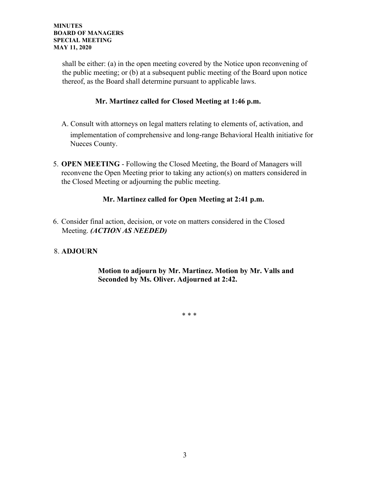shall be either: (a) in the open meeting covered by the Notice upon reconvening of the public meeting; or (b) at a subsequent public meeting of the Board upon notice thereof, as the Board shall determine pursuant to applicable laws.

# **Mr. Martinez called for Closed Meeting at 1:46 p.m.**

- A. Consult with attorneys on legal matters relating to elements of, activation, and implementation of comprehensive and long-range Behavioral Health initiative for Nueces County.
- 5. **OPEN MEETING** Following the Closed Meeting, the Board of Managers will reconvene the Open Meeting prior to taking any action(s) on matters considered in the Closed Meeting or adjourning the public meeting.

# **Mr. Martinez called for Open Meeting at 2:41 p.m.**

6. Consider final action, decision, or vote on matters considered in the Closed Meeting. *(ACTION AS NEEDED)*

# 8. **ADJOURN**

# **Motion to adjourn by Mr. Martinez. Motion by Mr. Valls and Seconded by Ms. Oliver. Adjourned at 2:42.**

\* \* \*